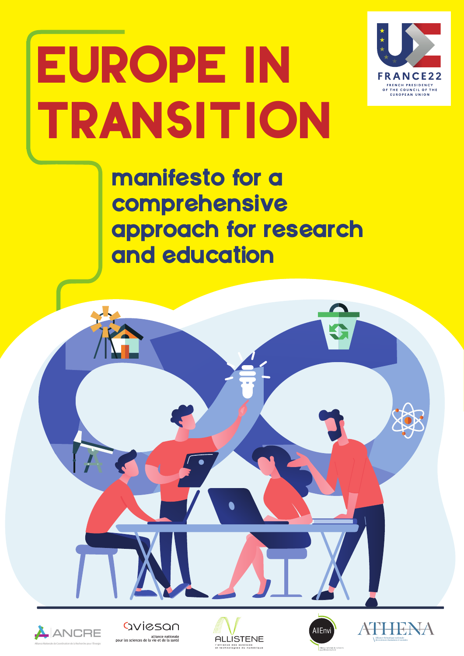

# EUROPE IN TRANSITION

manifesto for a comprehensive approach for research and education









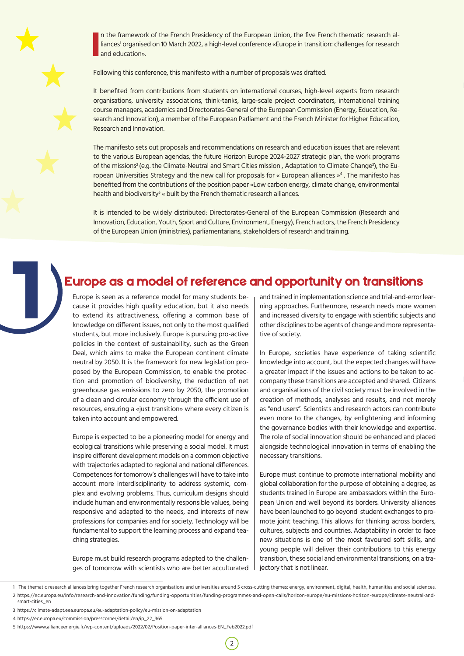

**I** n the framework of the French Presidency of the European Union, the five French thematic research alliances' organised on 10 March 2022, a high-level conference «Europe in transition: challenges for research and education».

Following this conference, this manifesto with a number of proposals was drafted.

It benefited from contributions from students on international courses, high-level experts from research organisations, university associations, think-tanks, large-scale project coordinators, international training course managers, academics and Directorates-General of the European Commission (Energy, Education, Research and Innovation), a member of the European Parliament and the French Minister for Higher Education, Research and Innovation.

The manifesto sets out proposals and recommendations on research and education issues that are relevant to the various European agendas, the future Horizon Europe 2024-2027 strategic plan, the work programs of the missions<sup>2</sup> (e.g. the Climate-Neutral and Smart Cities mission , Adaptation to Climate Change<sup>3</sup>), the European Universities Strategy and the new call for proposals for « European alliances »<sup>4</sup> . The manifesto has benefited from the contributions of the position paper «Low carbon energy, climate change, environmental health and biodiversity<sup>s</sup> « built by the French thematic research alliances.

It is intended to be widely distributed: Directorates-General of the European Commission (Research and Innovation, Education, Youth, Sport and Culture, Environment, Energy), French actors, the French Presidency of the European Union (ministries), parliamentarians, stakeholders of research and training.

## Europe as a model of reference and opportunity on transitions 1

Europe is seen as a reference model for many students because it provides high quality education, but it also needs to extend its attractiveness, offering a common base of knowledge on different issues, not only to the most qualified students, but more inclusively. Europe is pursuing pro-active policies in the context of sustainability, such as the Green Deal, which aims to make the European continent climate neutral by 2050. It is the framework for new legislation proposed by the European Commission, to enable the protection and promotion of biodiversity, the reduction of net greenhouse gas emissions to zero by 2050, the promotion of a clean and circular economy through the efficient use of resources, ensuring a «just transition» where every citizen is taken into account and empowered.

Europe is expected to be a pioneering model for energy and ecological transitions while preserving a social model. It must inspire different development models on a common objective with trajectories adapted to regional and national differences. Competences for tomorrow's challenges will have to take into account more interdisciplinarity to address systemic, complex and evolving problems. Thus, curriculum designs should include human and environmentally responsible values, being responsive and adapted to the needs, and interests of new professions for companies and for society. Technology will be fundamental to support the learning process and expand teaching strategies.

Europe must build research programs adapted to the challenges of tomorrow with scientists who are better acculturated and trained in implementation science and trial-and-error learning approaches. Furthermore, research needs more women and increased diversity to engage with scientific subjects and other disciplines to be agents of change and more representative of society.

In Europe, societies have experience of taking scientific knowledge into account, but the expected changes will have a greater impact if the issues and actions to be taken to accompany these transitions are accepted and shared. Citizens and organisations of the civil society must be involved in the creation of methods, analyses and results, and not merely as "end users". Scientists and research actors can contribute even more to the changes, by enlightening and informing the governance bodies with their knowledge and expertise. The role of social innovation should be enhanced and placed alongside technological innovation in terms of enabling the necessary transitions.

Europe must continue to promote international mobility and global collaboration for the purpose of obtaining a degree, as students trained in Europe are ambassadors within the European Union and well beyond its borders. University alliances have been launched to go beyond student exchanges to promote joint teaching. This allows for thinking across borders, cultures, subjects and countries. Adaptability in order to face new situations is one of the most favoured soft skills, and young people will deliver their contributions to this energy transition, these social and environmental transitions, on a trajectory that is not linear.

 $2^{\circ}$ 

smart-cities\_en

<sup>1</sup> The thematic research alliances bring together French research organisations and universities around 5 cross-cutting themes: energy, environment, digital, health, humanities and social sciences. 2 https://ec.europa.eu/info/research-and-innovation/funding/funding-opportunities/funding-programmes-and-open-calls/horizon-europe/eu-missions-horizon-europe/climate-neutral-and-

<sup>3</sup> https://climate-adapt.eea.europa.eu/eu-adaptation-policy/eu-mission-on-adaptation

<sup>4</sup> https://ec.europa.eu/commission/presscorner/detail/en/ip\_22\_365

<sup>5</sup> https://www.allianceenergie.fr/wp-content/uploads/2022/02/Position-paper-inter-alliances-EN\_Feb2022.pdf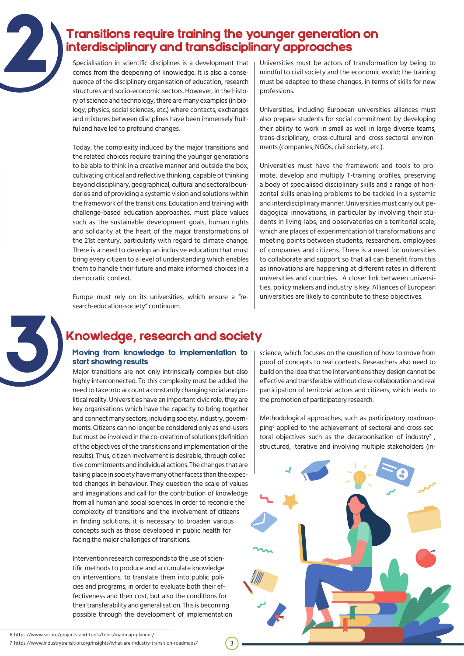### Transitions require training the younger generation on interdisciplinary and transdisciplinary approaches

Specialisation in scientific disciplines is a development that comes from the deepening of knowledge. It is also a consequence of the disciplinary organisation of education, research structures and socio-economic sectors. However, in the history of science and technology, there are many examples (in biology, physics, social sciences, etc.) where contacts, exchanges and mixtures between disciplines have been immensely fruitful and have led to profound changes.

Today, the complexity induced by the major transitions and the related choices require training the younger generations to be able to think in a creative manner and outside the box, cultivating critical and reflective thinking, capable of thinking beyond disciplinary, geographical, cultural and sectoral boundaries and of providing a systemic vision and solutions within the framework of the transitions. Education and training with challenge-based education approaches, must place values such as the sustainable development goals, human rights and solidarity at the heart of the major transformations of the 21st century, particularly with regard to climate change. There is a need to develop an inclusive education that must bring every citizen to a level of understanding which enables them to handle their future and make informed choices in a democratic context.

Europe must rely on its universities, which ensure a "research-education-society" continuum.

Universities must be actors of transformation by being to mindful to civil society and the economic world; the training must be adapted to these changes, in terms of skills for new professions.

Universities, including European universities alliances must also prepare students for social commitment by developing their ability to work in small as well in large diverse teams, trans-disciplinary, cross-cultural and cross-sectoral environments (companies, NGOs, civil society, etc.).

Universities must have the framework and tools to promote, develop and multiply T-training profiles, preserving a body of specialised disciplinary skills and a range of horizontal skills enabling problems to be tackled in a systemic and interdisciplinary manner. Universities must carry out pedagogical innovations, in particular by involving their students in living-labs, and observatories on a territorial scale, which are places of experimentation of transformations and meeting points between students, researchers, employees of companies and citizens. There is a need for universities to collaborate and support so that all can benefit from this as innovations are happening at different rates in different universities and countries. A closer link between universities, policy makers and industry is key. Alliances of European universities are likely to contribute to these objectives.



2

## 3 Knowledge, research and society

#### Moving from knowledge to implementation to start showing results

Major transitions are not only intrinsically complex but also highly interconnected. To this complexity must be added the need to take into account a constantly changing social and political reality. Universities have an important civic role, they are key organisations which have the capacity to bring together and connect many sectors, including society, industry, governments. Citizens can no longer be considered only as end-users but must be involved in the co-creation of solutions (definition of the objectives of the transitions and implementation of the results). Thus, citizen involvement is desirable, through collective commitments and individual actions. The changes that are taking place in society have many other facets than the expected changes in behaviour. They question the scale of values and imaginations and call for the contribution of knowledge from all human and social sciences. In order to reconcile the complexity of transitions and the involvement of citizens in finding solutions, it is necessary to broaden various concepts such as those developed in public health for facing the major challenges of transitions.

Intervention research corresponds to the use of scientific methods to produce and accumulate knowledge on interventions, to translate them into public policies and programs, in order to evaluate both their effectiveness and their cost, but also the conditions for their transferability and generalisation. This is becoming possible through the development of implementation

3

6 https://www.sei.org/projects-and-tools/tools/roadmap-planner/

science, which focuses on the question of how to move from proof of concepts to real contexts. Researchers also need to build on the idea that the interventions they design cannot be effective and transferable without close collaboration and real participation of territorial actors and citizens, which leads to the promotion of participatory research.

Methodological approaches, such as participatory roadmapping<sup>6</sup> applied to the achievement of sectoral and cross-sectoral objectives such as the decarbonisation of industry<sup>7</sup>, structured, iterative and involving multiple stakeholders (in-



<sup>7</sup> https://www.industrytransition.org/insights/what-are-industry-transition-roadmaps/